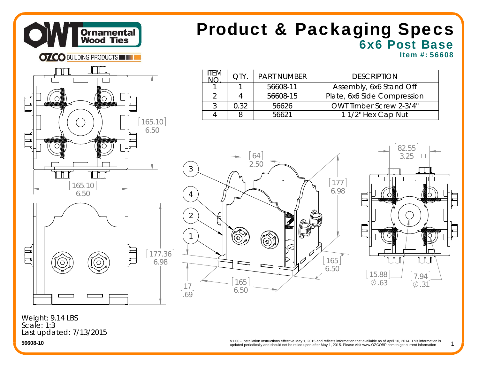

## 6x6 Post Base Product & Packaging Specs

Item #: 56608



| ITEM. |      | <b>PART NUMBER</b> | <b>DESCRIPTION</b>             |  |
|-------|------|--------------------|--------------------------------|--|
|       |      | 56608-11           | Assembly, 6x6 Stand Off        |  |
|       |      | 56608-15           | Plate, 6x6 Side Compression    |  |
| ς     | O 32 | 56626              | <b>OWT Timber Screw 2-3/4"</b> |  |
|       |      | 56621              | 11/2" Hex Cap Nut              |  |





1

Last updated: 7/13/2015 Weight: 9.14 LBS Scale: 1:3

> updated periodically and should not be relied upon after May 1, 2015. Please visit www.OZCOBP.com to get current information V1.00 - Installation Instructions effective May 1, 2015 and reflects information that available as of April 10, 2014. This information is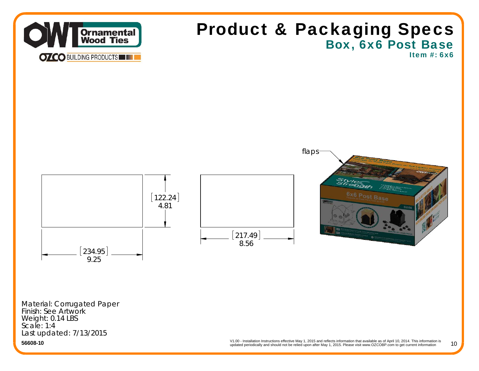

## Box, 6x6 Post Base Product & Packaging Specs

Item #: 6x6



Material: Corrugated Paper Finish: See Artwork Weight: 0.14 LBS Scale: 1:4Last updated: 7/13/2015

**56608-10**

V1.00 - Installation Instructions effective May 1, 2015 and reflects information that available as of April 10, 2014. This information is updated periodically and should not be relied upon after May 1, 2015. Please visit www.OZCOBP.com to get current information 10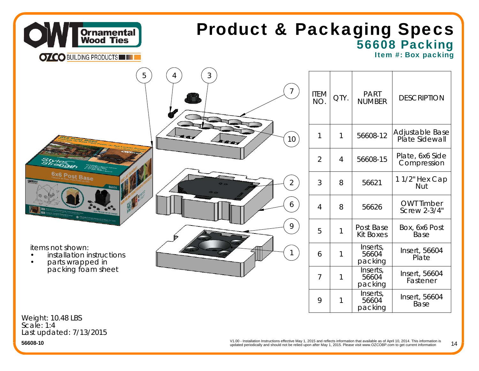

## 56608 Packing Product & Packaging Specs

Item #: Box packing

| $\mathfrak{Z}$<br>5<br>4                                                                                                          | ITEM<br>NO.    | QTY.           | <b>PART</b><br><b>NUMBER</b>       | <b>DESCRIPTION</b>                  |
|-----------------------------------------------------------------------------------------------------------------------------------|----------------|----------------|------------------------------------|-------------------------------------|
| 10 <sup>°</sup>                                                                                                                   |                | 1              | 56608-12                           | Adjustable Base<br>  Plate Sidewall |
| Stylendth<br>2433                                                                                                                 | $\overline{2}$ | $\overline{4}$ | 56608-15                           | Plate, 6x6 Side<br>Compression      |
| 6x6 Post Base<br><b>OWTER</b><br>$\overline{2}$<br>56608                                                                          | 3              | 8              | 56621                              | 11/2" Hex Cap<br>Nut                |
| 6<br>路                                                                                                                            | $\overline{4}$ | 8              | 56626                              | <b>OWT Timber</b><br>Screw 2-3/4"   |
| 9                                                                                                                                 | 5              | $\mathbf{1}$   | Post Base<br><b>Kit Boxes</b>      | Box, 6x6 Post<br>Base               |
| items not shown:<br>$\mathbf{1}$<br>installation instructions<br>$\bullet$<br>parts wrapped in<br>packing foam sheet<br>$\bullet$ | 6              | 1              | Inserts,<br>56604<br>packing       | Insert, 56604<br>Plate              |
|                                                                                                                                   | $\overline{7}$ | 1              | Inserts,<br>56604<br>packing       | Insert, 56604<br>Fastener           |
|                                                                                                                                   | 9              |                | Inserts,<br>56604<br>$\sim$ $-1.1$ | Insert, 56604<br>Base               |

Weight: 10.48 LBS Scale: 1:4Last updated: 7/13/2015 packing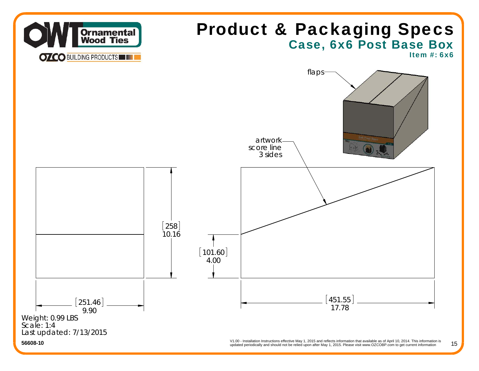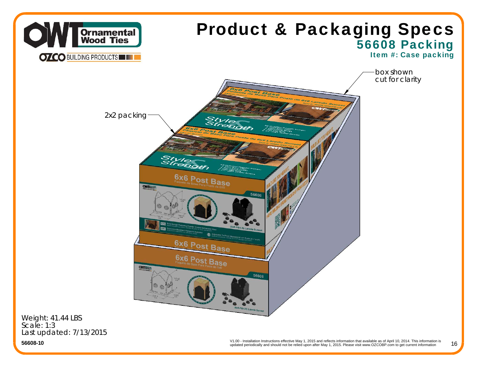

Scale: 1:3Last updated: 7/13/2015

**56608-10**

V1.00 - Installation Instructions effective May 1, 2015 and reflects information that available as of April 10, 2014. This information is updated periodically and should not be relied upon after May 1, 2015. Please visit www.OZCOBP.com to get current information